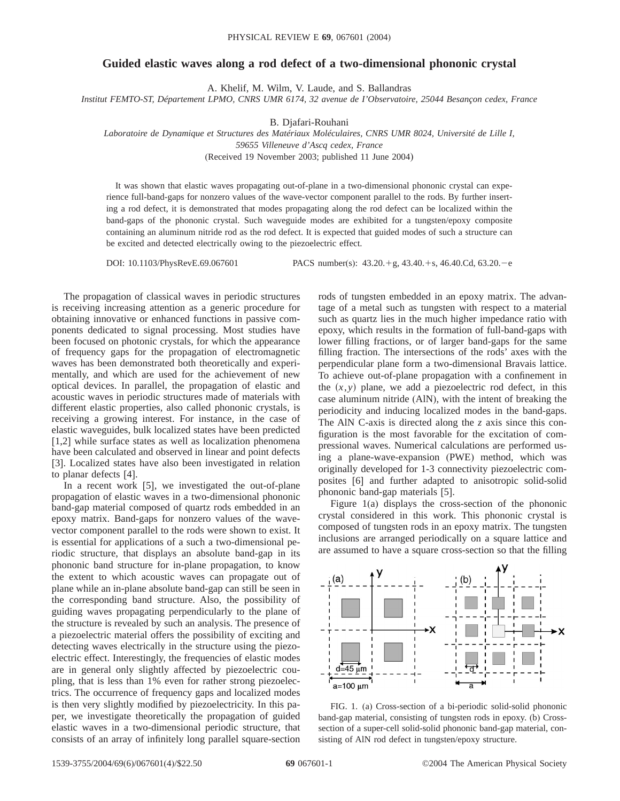## **Guided elastic waves along a rod defect of a two-dimensional phononic crystal**

A. Khelif, M. Wilm, V. Laude, and S. Ballandras

*Institut FEMTO-ST, Département LPMO, CNRS UMR 6174, 32 avenue de I'Observatoire, 25044 Besançon cedex, France*

B. Djafari-Rouhani

*Laboratoire de Dynamique et Structures des Matériaux Moléculaires, CNRS UMR 8024, Université de Lille I, 59655 Villeneuve d'Ascq cedex, France*

(Received 19 November 2003; published 11 June 2004)

It was shown that elastic waves propagating out-of-plane in a two-dimensional phononic crystal can experience full-band-gaps for nonzero values of the wave-vector component parallel to the rods. By further inserting a rod defect, it is demonstrated that modes propagating along the rod defect can be localized within the band-gaps of the phononic crystal. Such waveguide modes are exhibited for a tungsten/epoxy composite containing an aluminum nitride rod as the rod defect. It is expected that guided modes of such a structure can be excited and detected electrically owing to the piezoelectric effect.

DOI: 10.1103/PhysRevE.69.067601 PACS number(s):  $43.20.+g, 43.40.+s, 46.40.Cd, 63.20.-e$ 

The propagation of classical waves in periodic structures is receiving increasing attention as a generic procedure for obtaining innovative or enhanced functions in passive components dedicated to signal processing. Most studies have been focused on photonic crystals, for which the appearance of frequency gaps for the propagation of electromagnetic waves has been demonstrated both theoretically and experimentally, and which are used for the achievement of new optical devices. In parallel, the propagation of elastic and acoustic waves in periodic structures made of materials with different elastic properties, also called phononic crystals, is receiving a growing interest. For instance, in the case of elastic waveguides, bulk localized states have been predicted [1,2] while surface states as well as localization phenomena have been calculated and observed in linear and point defects [3]. Localized states have also been investigated in relation to planar defects [4].

In a recent work [5], we investigated the out-of-plane propagation of elastic waves in a two-dimensional phononic band-gap material composed of quartz rods embedded in an epoxy matrix. Band-gaps for nonzero values of the wavevector component parallel to the rods were shown to exist. It is essential for applications of a such a two-dimensional periodic structure, that displays an absolute band-gap in its phononic band structure for in-plane propagation, to know the extent to which acoustic waves can propagate out of plane while an in-plane absolute band-gap can still be seen in the corresponding band structure. Also, the possibility of guiding waves propagating perpendicularly to the plane of the structure is revealed by such an analysis. The presence of a piezoelectric material offers the possibility of exciting and detecting waves electrically in the structure using the piezoelectric effect. Interestingly, the frequencies of elastic modes are in general only slightly affected by piezoelectric coupling, that is less than 1% even for rather strong piezoelectrics. The occurrence of frequency gaps and localized modes is then very slightly modified by piezoelectricity. In this paper, we investigate theoretically the propagation of guided elastic waves in a two-dimensional periodic structure, that consists of an array of infinitely long parallel square-section

rods of tungsten embedded in an epoxy matrix. The advantage of a metal such as tungsten with respect to a material such as quartz lies in the much higher impedance ratio with epoxy, which results in the formation of full-band-gaps with lower filling fractions, or of larger band-gaps for the same filling fraction. The intersections of the rods' axes with the perpendicular plane form a two-dimensional Bravais lattice. To achieve out-of-plane propagation with a confinement in the  $(x, y)$  plane, we add a piezoelectric rod defect, in this case aluminum nitride (AlN), with the intent of breaking the periodicity and inducing localized modes in the band-gaps. The AlN C-axis is directed along the *z* axis since this configuration is the most favorable for the excitation of compressional waves. Numerical calculations are performed using a plane-wave-expansion (PWE) method, which was originally developed for 1-3 connectivity piezoelectric composites [6] and further adapted to anisotropic solid-solid phononic band-gap materials [5].

Figure 1(a) displays the cross-section of the phononic crystal considered in this work. This phononic crystal is composed of tungsten rods in an epoxy matrix. The tungsten inclusions are arranged periodically on a square lattice and are assumed to have a square cross-section so that the filling



FIG. 1. (a) Cross-section of a bi-periodic solid-solid phononic band-gap material, consisting of tungsten rods in epoxy. (b) Crosssection of a super-cell solid-solid phononic band-gap material, consisting of AlN rod defect in tungsten/epoxy structure.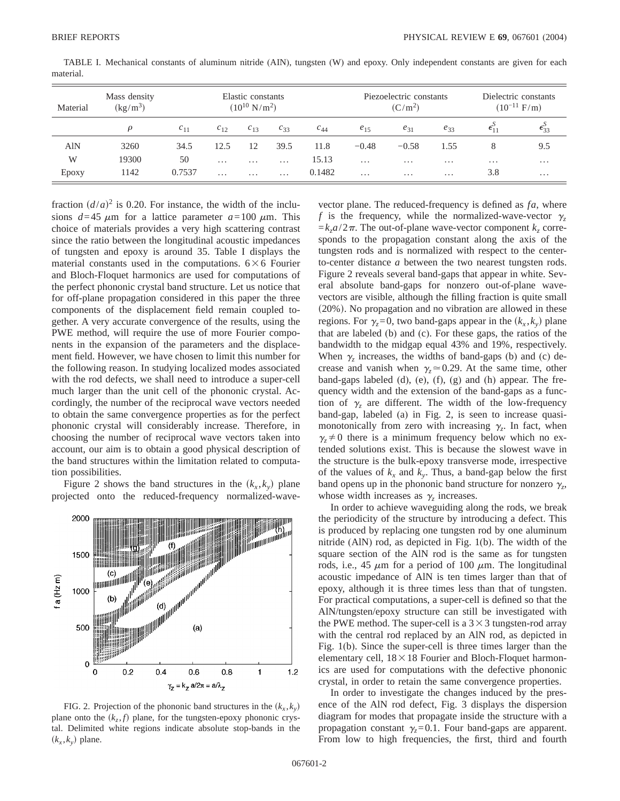| Material | Mass density<br>(kg/m <sup>3</sup> ) | Elastic constants<br>$(10^{10} \text{ N/m}^2)$ |                         |          |          |          | Piezoelectric constants<br>(C/m <sup>2</sup> ) |          |          | Dielectric constants<br>$(10^{-11} \text{ F/m})$ |                 |
|----------|--------------------------------------|------------------------------------------------|-------------------------|----------|----------|----------|------------------------------------------------|----------|----------|--------------------------------------------------|-----------------|
|          | ρ                                    | $c_{11}$                                       | $c_{12}$                | $c_{13}$ | $c_{33}$ | $c_{44}$ | $e_{15}$                                       | $e_{31}$ | $e_{33}$ | $\epsilon_{11}$                                  | $\epsilon_{33}$ |
| AlN      | 3260                                 | 34.5                                           | 12.5                    | 12       | 39.5     | 11.8     | $-0.48$                                        | $-0.58$  | 1.55     | 8                                                | 9.5             |
| W        | 19300                                | 50                                             | $\cdots$                | $\cdots$ | $\cdots$ | 15.13    | $\cdots$                                       | $\cdots$ | $\cdots$ | $\cdots$                                         | $\cdots$        |
| Epoxy    | 1142                                 | 0.7537                                         | $\cdot$ $\cdot$ $\cdot$ | $\cdots$ | $\cdots$ | 0.1482   | $\cdots$                                       | $\cdots$ | $\cdots$ | 3.8                                              | $\cdots$        |

TABLE I. Mechanical constants of aluminum nitride (AIN), tungsten (W) and epoxy. Only independent constants are given for each material.

fraction  $(d/a)^2$  is 0.20. For instance, the width of the inclusions  $d=45 \mu m$  for a lattice parameter  $a=100 \mu m$ . This choice of materials provides a very high scattering contrast since the ratio between the longitudinal acoustic impedances of tungsten and epoxy is around 35. Table I displays the material constants used in the computations.  $6\times6$  Fourier and Bloch-Floquet harmonics are used for computations of the perfect phononic crystal band structure. Let us notice that for off-plane propagation considered in this paper the three components of the displacement field remain coupled together. A very accurate convergence of the results, using the PWE method, will require the use of more Fourier components in the expansion of the parameters and the displacement field. However, we have chosen to limit this number for the following reason. In studying localized modes associated with the rod defects, we shall need to introduce a super-cell much larger than the unit cell of the phononic crystal. Accordingly, the number of the reciprocal wave vectors needed to obtain the same convergence properties as for the perfect phononic crystal will considerably increase. Therefore, in choosing the number of reciprocal wave vectors taken into account, our aim is to obtain a good physical description of the band structures within the limitation related to computation possibilities.

Figure 2 shows the band structures in the  $(k_x, k_y)$  plane projected onto the reduced-frequency normalized-wave-



FIG. 2. Projection of the phononic band structures in the  $(k_x, k_y)$ plane onto the  $(k_z, f)$  plane, for the tungsten-epoxy phononic crystal. Delimited white regions indicate absolute stop-bands in the  $(k_x, k_y)$  plane.

vector plane. The reduced-frequency is defined as *fa*, where *f* is the frequency, while the normalized-wave-vector  $\gamma$  $=k_z a/2\pi$ . The out-of-plane wave-vector component  $k_z$  corresponds to the propagation constant along the axis of the tungsten rods and is normalized with respect to the centerto-center distance *a* between the two nearest tungsten rods. Figure 2 reveals several band-gaps that appear in white. Several absolute band-gaps for nonzero out-of-plane wavevectors are visible, although the filling fraction is quite small  $(20\%)$ . No propagation and no vibration are allowed in these regions. For  $\gamma_z = 0$ , two band-gaps appear in the  $(k_x, k_y)$  plane that are labeled (b) and (c). For these gaps, the ratios of the bandwidth to the midgap equal 43% and 19%, respectively. When  $\gamma$ <sub>z</sub> increases, the widths of band-gaps (b) and (c) decrease and vanish when  $\gamma$ <sub>z</sub> $\approx$  0.29. At the same time, other band-gaps labeled (d), (e), (f), (g) and (h) appear. The frequency width and the extension of the band-gaps as a function of  $\gamma$ <sub>z</sub> are different. The width of the low-frequency band-gap, labeled (a) in Fig. 2, is seen to increase quasimonotonically from zero with increasing  $\gamma$ <sub>z</sub>. In fact, when  $\gamma$ <sup> $\neq$ </sup>0 there is a minimum frequency below which no extended solutions exist. This is because the slowest wave in the structure is the bulk-epoxy transverse mode, irrespective of the values of  $k_x$  and  $k_y$ . Thus, a band-gap below the first band opens up in the phononic band structure for nonzero  $\gamma_z$ , whose width increases as  $\gamma$ <sub>z</sub> increases.

In order to achieve waveguiding along the rods, we break the periodicity of the structure by introducing a defect. This is produced by replacing one tungsten rod by one aluminum nitride (AlN) rod, as depicted in Fig. 1(b). The width of the square section of the AlN rod is the same as for tungsten rods, i.e., 45  $\mu$ m for a period of 100  $\mu$ m. The longitudinal acoustic impedance of AlN is ten times larger than that of epoxy, although it is three times less than that of tungsten. For practical computations, a super-cell is defined so that the AlN/tungsten/epoxy structure can still be investigated with the PWE method. The super-cell is a  $3 \times 3$  tungsten-rod array with the central rod replaced by an AlN rod, as depicted in Fig. 1(b). Since the super-cell is three times larger than the elementary cell,  $18 \times 18$  Fourier and Bloch-Floquet harmonics are used for computations with the defective phononic crystal, in order to retain the same convergence properties.

In order to investigate the changes induced by the presence of the AlN rod defect, Fig. 3 displays the dispersion diagram for modes that propagate inside the structure with a propagation constant  $\gamma$ <sub>z</sub>=0.1. Four band-gaps are apparent. From low to high frequencies, the first, third and fourth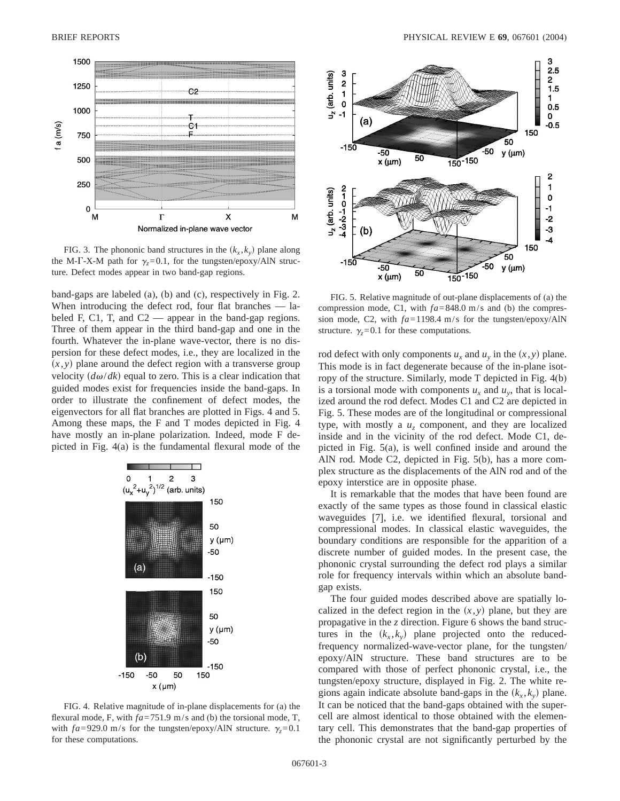

FIG. 3. The phononic band structures in the  $(k_x, k_y)$  plane along the M- $\Gamma$ -X-M path for  $\gamma_z$ =0.1, for the tungsten/epoxy/AlN structure. Defect modes appear in two band-gap regions.

band-gaps are labeled (a), (b) and (c), respectively in Fig. 2. When introducing the defect rod, four flat branches — labeled F, C1, T, and  $C2$  — appear in the band-gap regions. Three of them appear in the third band-gap and one in the fourth. Whatever the in-plane wave-vector, there is no dispersion for these defect modes, i.e., they are localized in the  $(x, y)$  plane around the defect region with a transverse group velocity  $(d\omega/dk)$  equal to zero. This is a clear indication that guided modes exist for frequencies inside the band-gaps. In order to illustrate the confinement of defect modes, the eigenvectors for all flat branches are plotted in Figs. 4 and 5. Among these maps, the F and T modes depicted in Fig. 4 have mostly an in-plane polarization. Indeed, mode F depicted in Fig. 4(a) is the fundamental flexural mode of the



FIG. 4. Relative magnitude of in-plane displacements for (a) the flexural mode, F, with  $fa = 751.9$  m/s and (b) the torsional mode, T, with  $fa=929.0$  m/s for the tungsten/epoxy/AlN structure.  $\gamma_z=0.1$ for these computations.



FIG. 5. Relative magnitude of out-plane displacements of (a) the compression mode, C1, with  $fa = 848.0$  m/s and (b) the compression mode, C2, with  $fa = 1198.4$  m/s for the tungsten/epoxy/AlN structure.  $\gamma_z = 0.1$  for these computations.

rod defect with only components  $u_x$  and  $u_y$  in the  $(x, y)$  plane. This mode is in fact degenerate because of the in-plane isotropy of the structure. Similarly, mode T depicted in Fig. 4(b) is a torsional mode with components  $u_x$  and  $u_y$ , that is localized around the rod defect. Modes C1 and C2 are depicted in Fig. 5. These modes are of the longitudinal or compressional type, with mostly a *uz* component, and they are localized inside and in the vicinity of the rod defect. Mode C1, depicted in Fig. 5(a), is well confined inside and around the AlN rod. Mode C2, depicted in Fig. 5(b), has a more complex structure as the displacements of the AlN rod and of the epoxy interstice are in opposite phase.

It is remarkable that the modes that have been found are exactly of the same types as those found in classical elastic waveguides [7], i.e. we identified flexural, torsional and compressional modes. In classical elastic waveguides, the boundary conditions are responsible for the apparition of a discrete number of guided modes. In the present case, the phononic crystal surrounding the defect rod plays a similar role for frequency intervals within which an absolute bandgap exists.

The four guided modes described above are spatially localized in the defect region in the  $(x, y)$  plane, but they are propagative in the *z* direction. Figure 6 shows the band structures in the  $(k_x, k_y)$  plane projected onto the reducedfrequency normalized-wave-vector plane, for the tungsten/ epoxy/AlN structure. These band structures are to be compared with those of perfect phononic crystal, i.e., the tungsten/epoxy structure, displayed in Fig. 2. The white regions again indicate absolute band-gaps in the  $(k_x, k_y)$  plane. It can be noticed that the band-gaps obtained with the supercell are almost identical to those obtained with the elementary cell. This demonstrates that the band-gap properties of the phononic crystal are not significantly perturbed by the